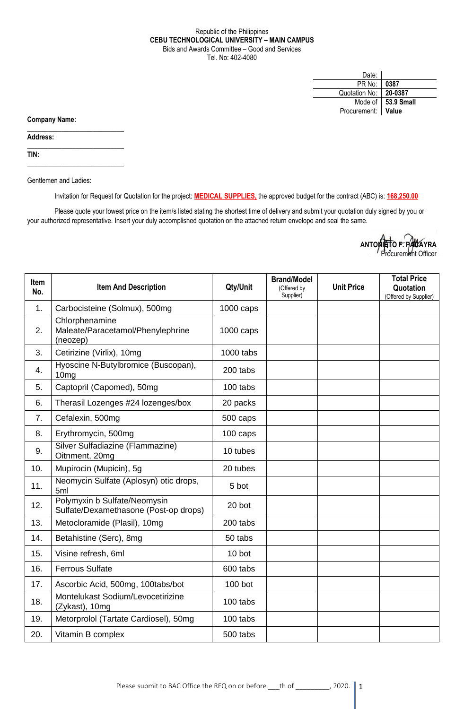## Republic of the Philippines **CEBU TECHNOLOGICAL UNIVERSITY – MAIN CAMPUS** Bids and Awards Committee – Good and Services Tel. No: 402-4080

| Date:                |                     |
|----------------------|---------------------|
| PR No:               | 0387                |
| Quotation No:        | 20-0387             |
|                      | Mode of 153.9 Small |
| Procurement:   Value |                     |

**Company Name:**

**Address:** 

**TIN:**

Gentlemen and Ladies:

 $\_$ 

 $\_$ 

\_\_\_\_\_\_\_\_\_\_\_\_\_\_\_\_\_\_\_\_\_\_\_\_\_\_\_\_

Invitation for Request for Quotation for the project: **MEDICAL SUPPLIES,** the approved budget for the contract (ABC) is: **168,250.00**

Please quote your lowest price on the item/s listed stating the shortest time of delivery and submit your quotation duly signed by you or your authorized representative. Insert your duly accomplished quotation on the attached return envelope and seal the same.



| <b>Item</b><br>No. | <b>Item And Description</b>                                           | Qty/Unit            | <b>Brand/Model</b><br>(Offered by<br>Supplier) | <b>Unit Price</b> | <b>Total Price</b><br>Quotation<br>(Offered by Supplier) |
|--------------------|-----------------------------------------------------------------------|---------------------|------------------------------------------------|-------------------|----------------------------------------------------------|
| 1.                 | Carbocisteine (Solmux), 500mg                                         | $1000 \text{ caps}$ |                                                |                   |                                                          |
| 2.                 | Chlorphenamine<br>Maleate/Paracetamol/Phenylephrine<br>(neozep)       | $1000 \text{ caps}$ |                                                |                   |                                                          |
| 3.                 | Cetirizine (Virlix), 10mg                                             | 1000 tabs           |                                                |                   |                                                          |
| 4.                 | Hyoscine N-Butylbromice (Buscopan),<br>10mg                           | 200 tabs            |                                                |                   |                                                          |
| 5.                 | Captopril (Capomed), 50mg                                             | 100 tabs            |                                                |                   |                                                          |
| 6.                 | Therasil Lozenges #24 lozenges/box                                    | 20 packs            |                                                |                   |                                                          |
| 7.                 | Cefalexin, 500mg                                                      | 500 caps            |                                                |                   |                                                          |
| 8.                 | Erythromycin, 500mg                                                   | 100 caps            |                                                |                   |                                                          |
| 9.                 | Silver Sulfadiazine (Flammazine)<br>Oitnment, 20mg                    | 10 tubes            |                                                |                   |                                                          |
| 10.                | Mupirocin (Mupicin), 5g                                               | 20 tubes            |                                                |                   |                                                          |
| 11.                | Neomycin Sulfate (Aplosyn) otic drops,<br>5ml                         | 5 bot               |                                                |                   |                                                          |
| 12.                | Polymyxin b Sulfate/Neomysin<br>Sulfate/Dexamethasone (Post-op drops) | 20 bot              |                                                |                   |                                                          |
| 13.                | Metocloramide (Plasil), 10mg                                          | 200 tabs            |                                                |                   |                                                          |
| 14.                | Betahistine (Serc), 8mg                                               | 50 tabs             |                                                |                   |                                                          |
| 15.                | Visine refresh, 6ml                                                   | 10 bot              |                                                |                   |                                                          |
| 16.                | <b>Ferrous Sulfate</b>                                                | 600 tabs            |                                                |                   |                                                          |
| 17.                | Ascorbic Acid, 500mg, 100tabs/bot                                     | $100$ bot           |                                                |                   |                                                          |
| 18.                | Montelukast Sodium/Levocetirizine<br>(Zykast), 10mg                   | 100 tabs            |                                                |                   |                                                          |
| 19.                | Metorprolol (Tartate Cardiosel), 50mg                                 | 100 tabs            |                                                |                   |                                                          |
| 20.                | Vitamin B complex                                                     | 500 tabs            |                                                |                   |                                                          |